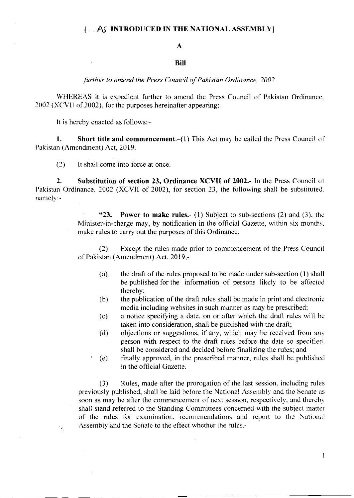## A

## BiI

further to amend the Press Council of Pakistan Ordinance, 2002

WHEREAS it is expedient further to amend the Press Council of Pakistan Ordinance.  $2002$  (XCVII of 2002), for the purposes hereinafter appearing:

It is hereby enacted as follows:-

**1.** Short title and commencement. $-(1)$  This Act may be called the Press Council of Pakistan (Amendment) Act, 2019.

 $(2)$  lt shall come into force at once.

2. Substitution of section 23, Ordinance XCVII of 2002.- In the Press Council of l'akistan Ordinance, 2002 (XCVII of 2002), for section 23, the following shall be substituted. namelv:-

> "23. Power to make rules.- (1) Subject to sub-sections (2) and (3), the Minister-in-charge may, by notification in the official Gazette, within six months. make rules to carry out the purposes of this Ordinance.

> $(2)$  Except the rules made prior to commencement of the Press Council of Pakistan (Amendment) Act, 2019,-

- (a) the draft of the rules proposed to be made under sub-section  $(1)$  shall be published for the information of persons likely to be affected thereby;
- $(b)$  the publication of the draft rules shall be made in print and electronic media including websites in such manner as may be prescribed;
- (c) a notice specifying a date. on or after which the draft rules will be taken into consideration, shall be published with the draft;
- (d) objections or suggestions, if any, which may be received from any person with respect to the draft rules before the date so specified. shall be considered and decided before finalizing the rules; and
- (e) finally approved. in the prescribcd manner, rules shall bc publishcd in the official Cazette.

 $(3)$  Rules, made after the prorogation of the last session. including rules previously published, shall be laid before the National Assembly and the Senate as soon as may be after the commencement of next session, respectively, and thereby shall stand referred to the Standing Committees concerned with the subject matter of the rules for examination, recommendations and report to the National Assembly and the Senate to the effect whether the rules.-

 $\mathbf{I}$